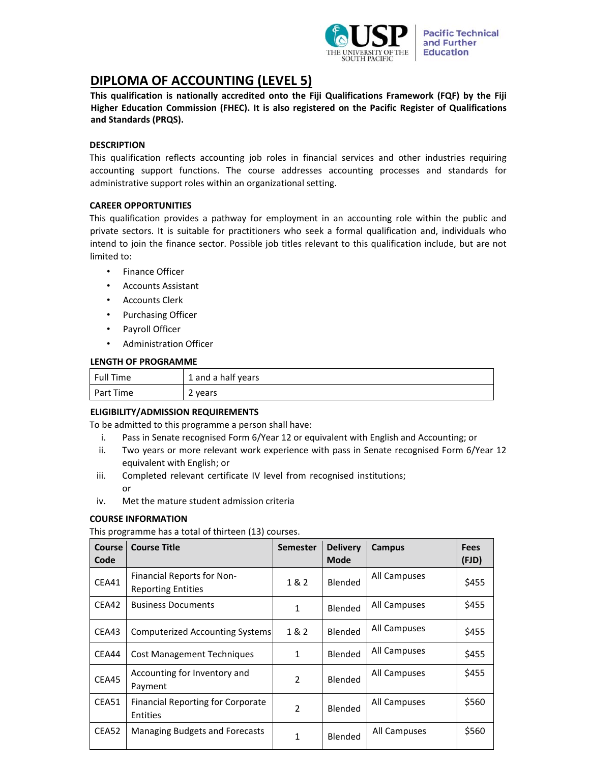

# **DIPLOMA OF ACCOUNTING (LEVEL 5)**

**This qualification is nationally accredited onto the Fiji Qualifications Framework (FQF) by the Fiji Higher Education Commission (FHEC). It is also registered on the Pacific Register of Qualifications and Standards (PRQS).** 

## **DESCRIPTION**

This qualification reflects accounting job roles in financial services and other industries requiring accounting support functions. The course addresses accounting processes and standards for administrative support roles within an organizational setting.

## **CAREER OPPORTUNITIES**

This qualification provides a pathway for employment in an accounting role within the public and private sectors. It is suitable for practitioners who seek a formal qualification and, individuals who intend to join the finance sector. Possible job titles relevant to this qualification include, but are not limited to:

- Finance Officer
- Accounts Assistant
- Accounts Clerk
- Purchasing Officer
- Payroll Officer
- Administration Officer

## **LENGTH OF PROGRAMME**

| <b>Full Time</b> | 1 and a half years |
|------------------|--------------------|
| Part Time        | 2 years            |

# **ELIGIBILITY/ADMISSION REQUIREMENTS**

To be admitted to this programme a person shall have:

- i. Pass in Senate recognised Form 6/Year 12 or equivalent with English and Accounting; or
- ii. Two years or more relevant work experience with pass in Senate recognised Form 6/Year 12 equivalent with English; or
- iii. Completed relevant certificate IV level from recognised institutions; or
- iv. Met the mature student admission criteria

# **COURSE INFORMATION**

This programme has a total of thirteen (13) courses.

| <b>Course</b> | <b>Course Title</b>                                         | <b>Semester</b> | <b>Delivery</b> | Campus       | <b>Fees</b> |
|---------------|-------------------------------------------------------------|-----------------|-----------------|--------------|-------------|
| Code          |                                                             |                 | <b>Mode</b>     |              | (FJD)       |
| CEA41         | Financial Reports for Non-<br><b>Reporting Entities</b>     | 1&2             | Blended         | All Campuses | \$455       |
| CEA42         | <b>Business Documents</b>                                   | 1               | Blended         | All Campuses | \$455       |
| CEA43         | Computerized Accounting Systems                             | 1 & 2           | Blended         | All Campuses | \$455       |
| CEA44         | <b>Cost Management Techniques</b>                           | 1               | Blended         | All Campuses | \$455       |
| CEA45         | Accounting for Inventory and<br>Payment                     | $\mathfrak{D}$  | Blended         | All Campuses | \$455       |
| CEA51         | <b>Financial Reporting for Corporate</b><br><b>Entities</b> | $\overline{2}$  | Blended         | All Campuses | \$560       |
| CEA52         | Managing Budgets and Forecasts                              | 1               | Blended         | All Campuses | \$560       |